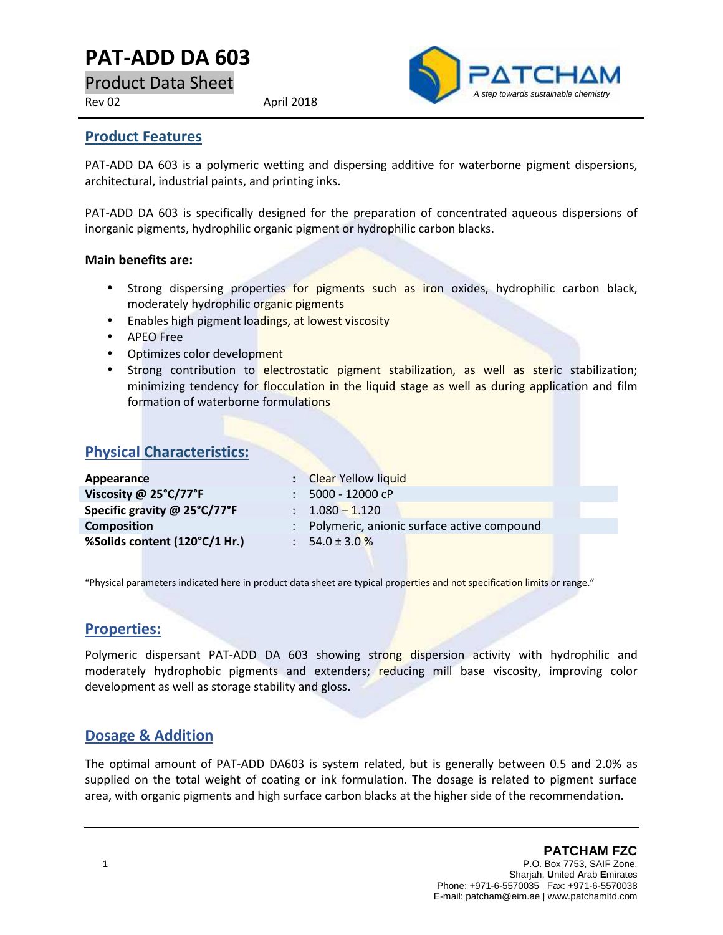# **PAT-ADD DA 603**

Product Data Sheet

Rev 02 April 2018



#### **Product Features**

PAT-ADD DA 603 is a polymeric wetting and dispersing additive for waterborne pigment dispersions, architectural, industrial paints, and printing inks.

PAT-ADD DA 603 is specifically designed for the preparation of concentrated aqueous dispersions of inorganic pigments, hydrophilic organic pigment or hydrophilic carbon blacks.

#### **Main benefits are:**

- Strong dispersing properties for pigments such as iron oxides, hydrophilic carbon black, moderately hydrophilic organic pigments
- Enables high pigment loadings, at lowest viscosity
- APEO Free
- Optimizes color development
- Strong contribution to electrostatic pigment stabilization, as well as steric stabilization; minimizing tendency for flocculation in the liquid stage as well as during application and film formation of waterborne formulations

### **Physical Characteristics:**

| Appearance                    | : Clear Yellow liquid                        |  |
|-------------------------------|----------------------------------------------|--|
| Viscosity @ 25°C/77°F         | 5000 - 12000 cP                              |  |
| Specific gravity @ 25°C/77°F  | $\therefore$ 1.080 - 1.120                   |  |
| <b>Composition</b>            | : Polymeric, anionic surface active compound |  |
| %Solids content (120°C/1 Hr.) | 54.0 ± 3.0 $%$                               |  |
|                               |                                              |  |

"Physical parameters indicated here in product data sheet are typical properties and not specification limits or range."

### **Properties:**

Polymeric dispersant PAT-ADD DA 603 showing strong dispersion activity with hydrophilic and moderately hydrophobic pigments and extenders; reducing mill base viscosity, improving color development as well as storage stability and gloss.

### **Dosage & Addition**

The optimal amount of PAT-ADD DA603 is system related, but is generally between 0.5 and 2.0% as supplied on the total weight of coating or ink formulation. The dosage is related to pigment surface area, with organic pigments and high surface carbon blacks at the higher side of the recommendation.